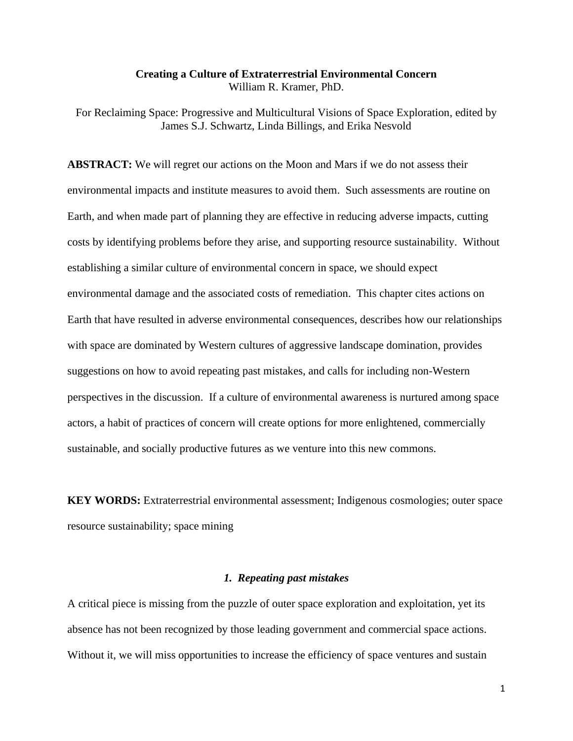# **Creating a Culture of Extraterrestrial Environmental Concern** William R. Kramer, PhD.

For Reclaiming Space: Progressive and Multicultural Visions of Space Exploration, edited by James S.J. Schwartz, Linda Billings, and Erika Nesvold

**ABSTRACT:** We will regret our actions on the Moon and Mars if we do not assess their environmental impacts and institute measures to avoid them. Such assessments are routine on Earth, and when made part of planning they are effective in reducing adverse impacts, cutting costs by identifying problems before they arise, and supporting resource sustainability. Without establishing a similar culture of environmental concern in space, we should expect environmental damage and the associated costs of remediation. This chapter cites actions on Earth that have resulted in adverse environmental consequences, describes how our relationships with space are dominated by Western cultures of aggressive landscape domination, provides suggestions on how to avoid repeating past mistakes, and calls for including non-Western perspectives in the discussion. If a culture of environmental awareness is nurtured among space actors, a habit of practices of concern will create options for more enlightened, commercially sustainable, and socially productive futures as we venture into this new commons.

**KEY WORDS:** Extraterrestrial environmental assessment; Indigenous cosmologies; outer space resource sustainability; space mining

## *1. Repeating past mistakes*

A critical piece is missing from the puzzle of outer space exploration and exploitation, yet its absence has not been recognized by those leading government and commercial space actions. Without it, we will miss opportunities to increase the efficiency of space ventures and sustain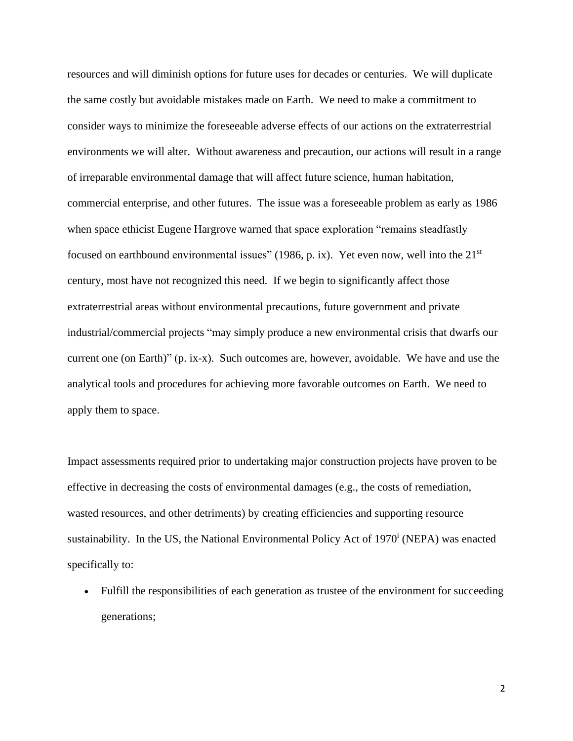resources and will diminish options for future uses for decades or centuries. We will duplicate the same costly but avoidable mistakes made on Earth. We need to make a commitment to consider ways to minimize the foreseeable adverse effects of our actions on the extraterrestrial environments we will alter. Without awareness and precaution, our actions will result in a range of irreparable environmental damage that will affect future science, human habitation, commercial enterprise, and other futures. The issue was a foreseeable problem as early as 1986 when space ethicist Eugene Hargrove warned that space exploration "remains steadfastly" focused on earthbound environmental issues" (1986, p. ix). Yet even now, well into the  $21<sup>st</sup>$ century, most have not recognized this need. If we begin to significantly affect those extraterrestrial areas without environmental precautions, future government and private industrial/commercial projects "may simply produce a new environmental crisis that dwarfs our current one (on Earth)" (p. ix-x). Such outcomes are, however, avoidable. We have and use the analytical tools and procedures for achieving more favorable outcomes on Earth. We need to apply them to space.

Impact assessments required prior to undertaking major construction projects have proven to be effective in decreasing the costs of environmental damages (e.g., the costs of remediation, wasted resources, and other detriments) by creating efficiencies and supporting resource sustainability. In the US, the National Environmental Policy Act of  $1970^i$  (NEPA) was enacted specifically to:

• Fulfill the responsibilities of each generation as trustee of the environment for succeeding generations;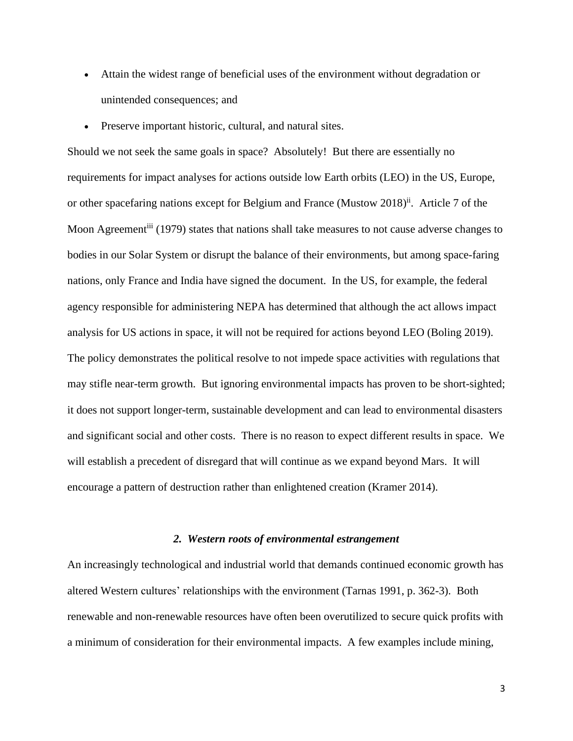- Attain the widest range of beneficial uses of the environment without degradation or unintended consequences; and
- Preserve important historic, cultural, and natural sites.

Should we not seek the same goals in space? Absolutely! But there are essentially no requirements for impact analyses for actions outside low Earth orbits (LEO) in the US, Europe, or other spacefaring nations except for Belgium and France (Mustow 2018)<sup>ii</sup>. Article 7 of the Moon Agreement<sup>iii</sup> (1979) states that nations shall take measures to not cause adverse changes to bodies in our Solar System or disrupt the balance of their environments, but among space-faring nations, only France and India have signed the document. In the US, for example, the federal agency responsible for administering NEPA has determined that although the act allows impact analysis for US actions in space, it will not be required for actions beyond LEO (Boling 2019). The policy demonstrates the political resolve to not impede space activities with regulations that may stifle near-term growth. But ignoring environmental impacts has proven to be short-sighted; it does not support longer-term, sustainable development and can lead to environmental disasters and significant social and other costs. There is no reason to expect different results in space. We will establish a precedent of disregard that will continue as we expand beyond Mars. It will encourage a pattern of destruction rather than enlightened creation (Kramer 2014).

#### *2. Western roots of environmental estrangement*

An increasingly technological and industrial world that demands continued economic growth has altered Western cultures' relationships with the environment (Tarnas 1991, p. 362-3). Both renewable and non-renewable resources have often been overutilized to secure quick profits with a minimum of consideration for their environmental impacts. A few examples include mining,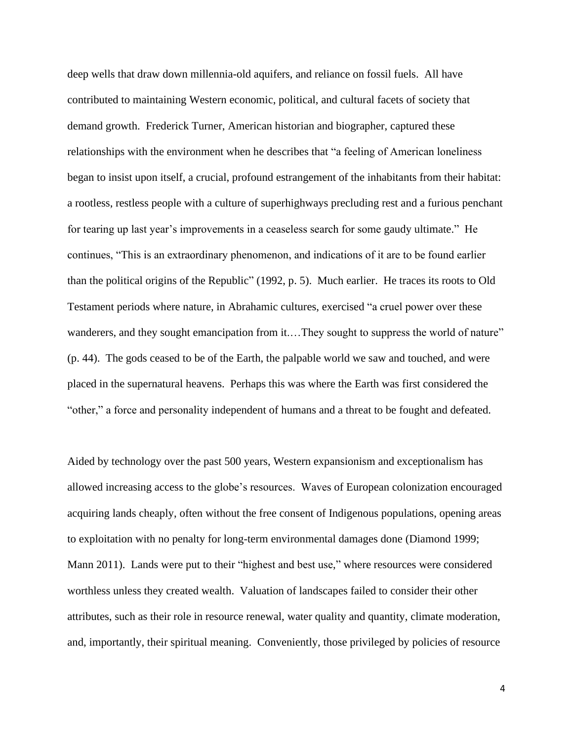deep wells that draw down millennia-old aquifers, and reliance on fossil fuels. All have contributed to maintaining Western economic, political, and cultural facets of society that demand growth. Frederick Turner, American historian and biographer, captured these relationships with the environment when he describes that "a feeling of American loneliness began to insist upon itself, a crucial, profound estrangement of the inhabitants from their habitat: a rootless, restless people with a culture of superhighways precluding rest and a furious penchant for tearing up last year's improvements in a ceaseless search for some gaudy ultimate." He continues, "This is an extraordinary phenomenon, and indications of it are to be found earlier than the political origins of the Republic" (1992, p. 5). Much earlier. He traces its roots to Old Testament periods where nature, in Abrahamic cultures, exercised "a cruel power over these wanderers, and they sought emancipation from it....They sought to suppress the world of nature" (p. 44). The gods ceased to be of the Earth, the palpable world we saw and touched, and were placed in the supernatural heavens. Perhaps this was where the Earth was first considered the "other," a force and personality independent of humans and a threat to be fought and defeated.

Aided by technology over the past 500 years, Western expansionism and exceptionalism has allowed increasing access to the globe's resources. Waves of European colonization encouraged acquiring lands cheaply, often without the free consent of Indigenous populations, opening areas to exploitation with no penalty for long-term environmental damages done (Diamond 1999; Mann 2011). Lands were put to their "highest and best use," where resources were considered worthless unless they created wealth. Valuation of landscapes failed to consider their other attributes, such as their role in resource renewal, water quality and quantity, climate moderation, and, importantly, their spiritual meaning. Conveniently, those privileged by policies of resource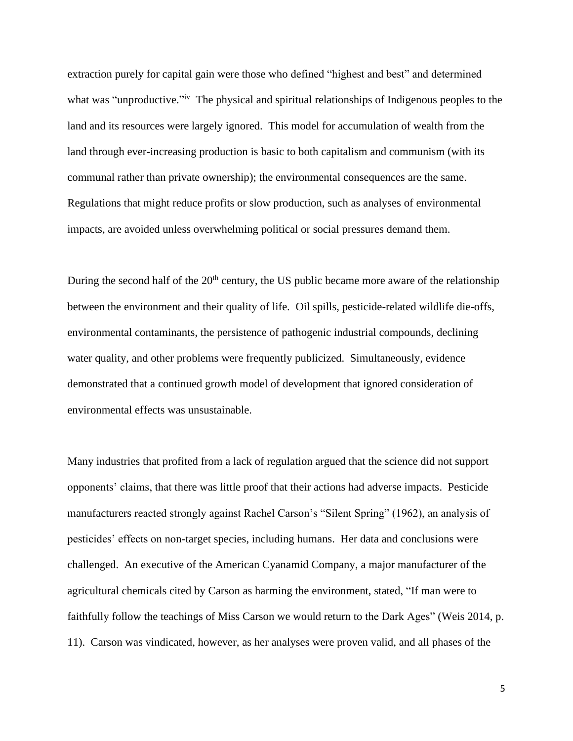extraction purely for capital gain were those who defined "highest and best" and determined what was "unproductive."<sup>iv</sup> The physical and spiritual relationships of Indigenous peoples to the land and its resources were largely ignored. This model for accumulation of wealth from the land through ever-increasing production is basic to both capitalism and communism (with its communal rather than private ownership); the environmental consequences are the same. Regulations that might reduce profits or slow production, such as analyses of environmental impacts, are avoided unless overwhelming political or social pressures demand them.

During the second half of the  $20<sup>th</sup>$  century, the US public became more aware of the relationship between the environment and their quality of life. Oil spills, pesticide-related wildlife die-offs, environmental contaminants, the persistence of pathogenic industrial compounds, declining water quality, and other problems were frequently publicized. Simultaneously, evidence demonstrated that a continued growth model of development that ignored consideration of environmental effects was unsustainable.

Many industries that profited from a lack of regulation argued that the science did not support opponents' claims, that there was little proof that their actions had adverse impacts. Pesticide manufacturers reacted strongly against Rachel Carson's "Silent Spring" (1962), an analysis of pesticides' effects on non-target species, including humans. Her data and conclusions were challenged. An executive of the American Cyanamid Company, a major manufacturer of the agricultural chemicals cited by Carson as harming the environment, stated, "If man were to faithfully follow the teachings of Miss Carson we would return to the Dark Ages" (Weis 2014, p. 11). Carson was vindicated, however, as her analyses were proven valid, and all phases of the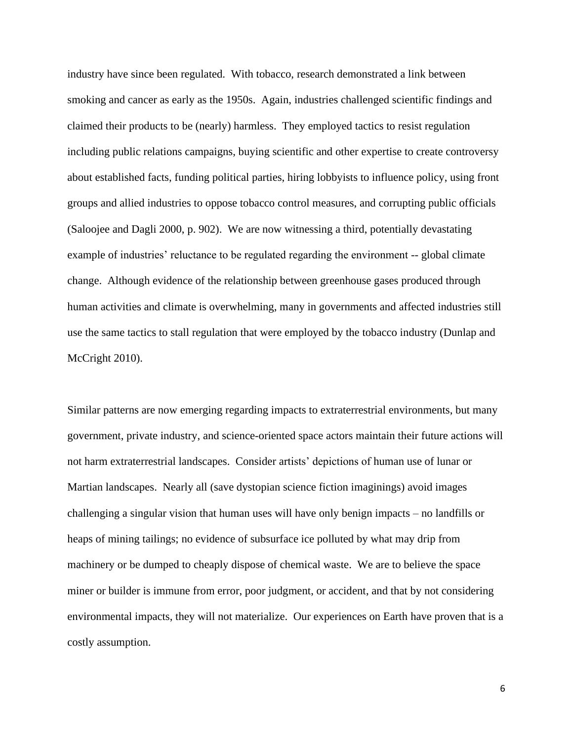industry have since been regulated. With tobacco, research demonstrated a link between smoking and cancer as early as the 1950s. Again, industries challenged scientific findings and claimed their products to be (nearly) harmless. They employed tactics to resist regulation including public relations campaigns, buying scientific and other expertise to create controversy about established facts, funding political parties, hiring lobbyists to influence policy, using front groups and allied industries to oppose tobacco control measures, and corrupting public officials (Saloojee and Dagli 2000, p. 902). We are now witnessing a third, potentially devastating example of industries' reluctance to be regulated regarding the environment -- global climate change. Although evidence of the relationship between greenhouse gases produced through human activities and climate is overwhelming, many in governments and affected industries still use the same tactics to stall regulation that were employed by the tobacco industry (Dunlap and McCright 2010).

Similar patterns are now emerging regarding impacts to extraterrestrial environments, but many government, private industry, and science-oriented space actors maintain their future actions will not harm extraterrestrial landscapes. Consider artists' depictions of human use of lunar or Martian landscapes. Nearly all (save dystopian science fiction imaginings) avoid images challenging a singular vision that human uses will have only benign impacts – no landfills or heaps of mining tailings; no evidence of subsurface ice polluted by what may drip from machinery or be dumped to cheaply dispose of chemical waste. We are to believe the space miner or builder is immune from error, poor judgment, or accident, and that by not considering environmental impacts, they will not materialize. Our experiences on Earth have proven that is a costly assumption.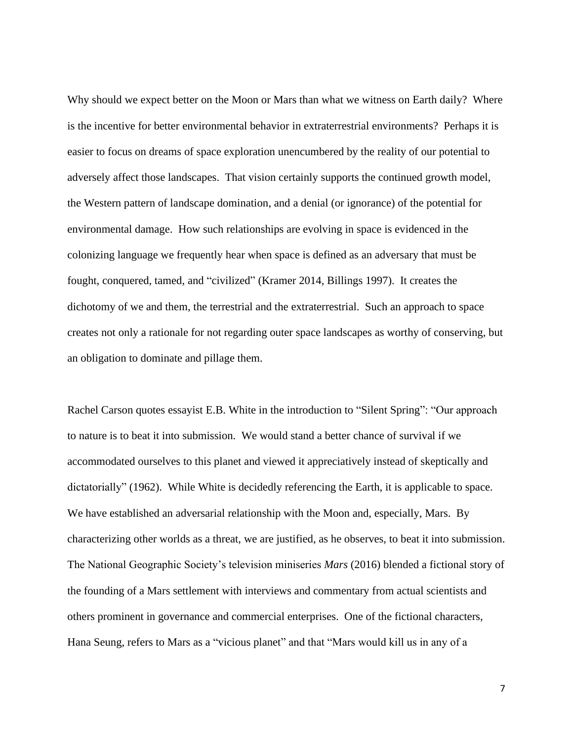Why should we expect better on the Moon or Mars than what we witness on Earth daily? Where is the incentive for better environmental behavior in extraterrestrial environments? Perhaps it is easier to focus on dreams of space exploration unencumbered by the reality of our potential to adversely affect those landscapes. That vision certainly supports the continued growth model, the Western pattern of landscape domination, and a denial (or ignorance) of the potential for environmental damage. How such relationships are evolving in space is evidenced in the colonizing language we frequently hear when space is defined as an adversary that must be fought, conquered, tamed, and "civilized" (Kramer 2014, Billings 1997). It creates the dichotomy of we and them, the terrestrial and the extraterrestrial. Such an approach to space creates not only a rationale for not regarding outer space landscapes as worthy of conserving, but an obligation to dominate and pillage them.

Rachel Carson quotes essayist E.B. White in the introduction to "Silent Spring": "Our approach to nature is to beat it into submission. We would stand a better chance of survival if we accommodated ourselves to this planet and viewed it appreciatively instead of skeptically and dictatorially" (1962). While White is decidedly referencing the Earth, it is applicable to space. We have established an adversarial relationship with the Moon and, especially, Mars. By characterizing other worlds as a threat, we are justified, as he observes, to beat it into submission. The National Geographic Society's television miniseries *Mars* (2016) blended a fictional story of the founding of a Mars settlement with interviews and commentary from actual scientists and others prominent in governance and commercial enterprises. One of the fictional characters, Hana Seung, refers to Mars as a "vicious planet" and that "Mars would kill us in any of a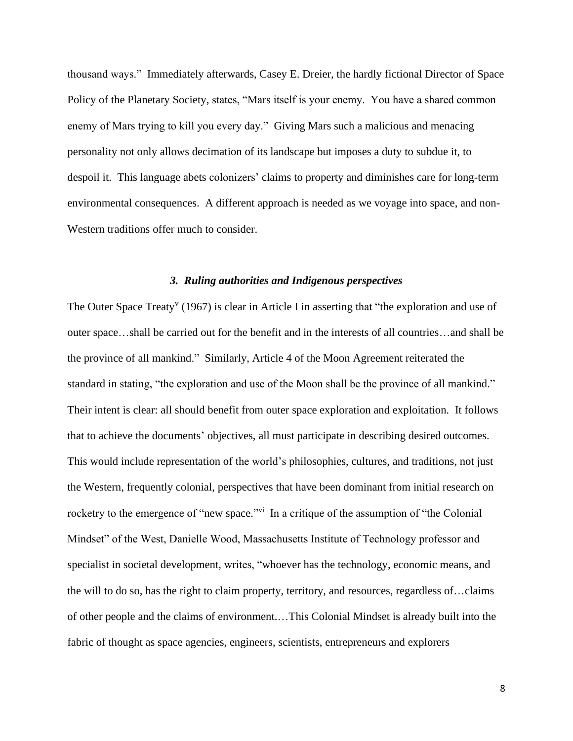thousand ways." Immediately afterwards, Casey E. Dreier, the hardly fictional Director of Space Policy of the Planetary Society, states, "Mars itself is your enemy. You have a shared common enemy of Mars trying to kill you every day." Giving Mars such a malicious and menacing personality not only allows decimation of its landscape but imposes a duty to subdue it, to despoil it. This language abets colonizers' claims to property and diminishes care for long-term environmental consequences. A different approach is needed as we voyage into space, and non-Western traditions offer much to consider.

### *3. Ruling authorities and Indigenous perspectives*

The Outer Space Treaty<sup>v</sup> (1967) is clear in Article I in asserting that "the exploration and use of outer space…shall be carried out for the benefit and in the interests of all countries…and shall be the province of all mankind." Similarly, Article 4 of the Moon Agreement reiterated the standard in stating, "the exploration and use of the Moon shall be the province of all mankind." Their intent is clear: all should benefit from outer space exploration and exploitation. It follows that to achieve the documents' objectives, all must participate in describing desired outcomes. This would include representation of the world's philosophies, cultures, and traditions, not just the Western, frequently colonial, perspectives that have been dominant from initial research on rocketry to the emergence of "new space."<sup>vi</sup> In a critique of the assumption of "the Colonial Mindset" of the West, Danielle Wood, Massachusetts Institute of Technology professor and specialist in societal development, writes, "whoever has the technology, economic means, and the will to do so, has the right to claim property, territory, and resources, regardless of…claims of other people and the claims of environment.…This Colonial Mindset is already built into the fabric of thought as space agencies, engineers, scientists, entrepreneurs and explorers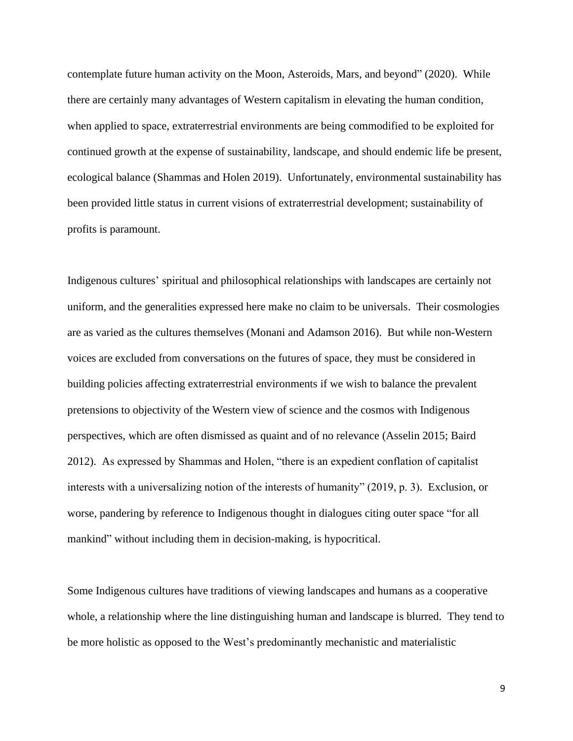contemplate future human activity on the Moon, Asteroids, Mars, and beyond" (2020). While there are certainly many advantages of Western capitalism in elevating the human condition, when applied to space, extraterrestrial environments are being commodified to be exploited for continued growth at the expense of sustainability, landscape, and should endemic life be present, ecological balance (Shammas and Holen 2019). Unfortunately, environmental sustainability has been provided little status in current visions of extraterrestrial development; sustainability of profits is paramount.

Indigenous cultures' spiritual and philosophical relationships with landscapes are certainly not uniform, and the generalities expressed here make no claim to be universals. Their cosmologies are as varied as the cultures themselves (Monani and Adamson 2016). But while non-Western voices are excluded from conversations on the futures of space, they must be considered in building policies affecting extraterrestrial environments if we wish to balance the prevalent pretensions to objectivity of the Western view of science and the cosmos with Indigenous perspectives, which are often dismissed as quaint and of no relevance (Asselin 2015; Baird 2012). As expressed by Shammas and Holen, "there is an expedient conflation of capitalist interests with a universalizing notion of the interests of humanity" (2019, p. 3). Exclusion, or worse, pandering by reference to Indigenous thought in dialogues citing outer space "for all mankind" without including them in decision-making, is hypocritical.

Some Indigenous cultures have traditions of viewing landscapes and humans as a cooperative whole, a relationship where the line distinguishing human and landscape is blurred. They tend to be more holistic as opposed to the West's predominantly mechanistic and materialistic

9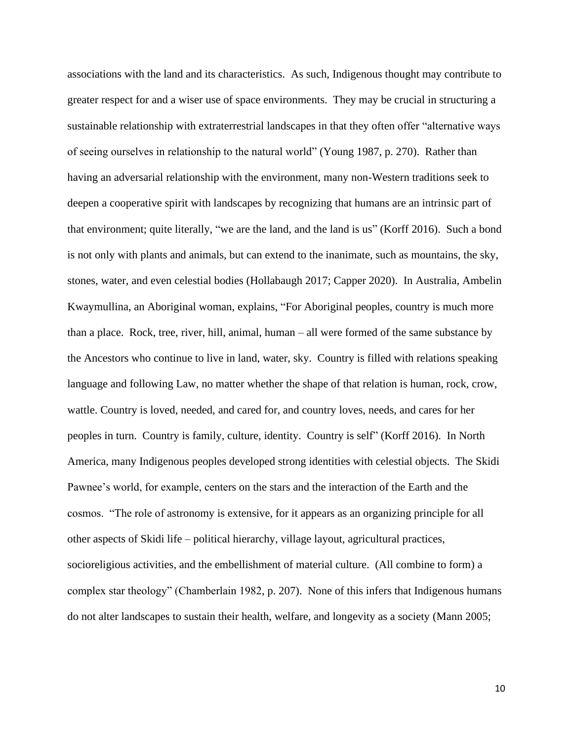associations with the land and its characteristics. As such, Indigenous thought may contribute to greater respect for and a wiser use of space environments. They may be crucial in structuring a sustainable relationship with extraterrestrial landscapes in that they often offer "alternative ways of seeing ourselves in relationship to the natural world" (Young 1987, p. 270). Rather than having an adversarial relationship with the environment, many non-Western traditions seek to deepen a cooperative spirit with landscapes by recognizing that humans are an intrinsic part of that environment; quite literally, "we are the land, and the land is us" (Korff 2016). Such a bond is not only with plants and animals, but can extend to the inanimate, such as mountains, the sky, stones, water, and even celestial bodies (Hollabaugh 2017; Capper 2020). In Australia, Ambelin Kwaymullina, an Aboriginal woman, explains, "For Aboriginal peoples, country is much more than a place. Rock, tree, river, hill, animal, human – all were formed of the same substance by the Ancestors who continue to live in land, water, sky. Country is filled with relations speaking language and following Law, no matter whether the shape of that relation is human, rock, crow, wattle. Country is loved, needed, and cared for, and country loves, needs, and cares for her peoples in turn. Country is family, culture, identity. Country is self" (Korff 2016). In North America, many Indigenous peoples developed strong identities with celestial objects. The Skidi Pawnee's world, for example, centers on the stars and the interaction of the Earth and the cosmos. "The role of astronomy is extensive, for it appears as an organizing principle for all other aspects of Skidi life – political hierarchy, village layout, agricultural practices, socioreligious activities, and the embellishment of material culture. (All combine to form) a complex star theology" (Chamberlain 1982, p. 207). None of this infers that Indigenous humans do not alter landscapes to sustain their health, welfare, and longevity as a society (Mann 2005;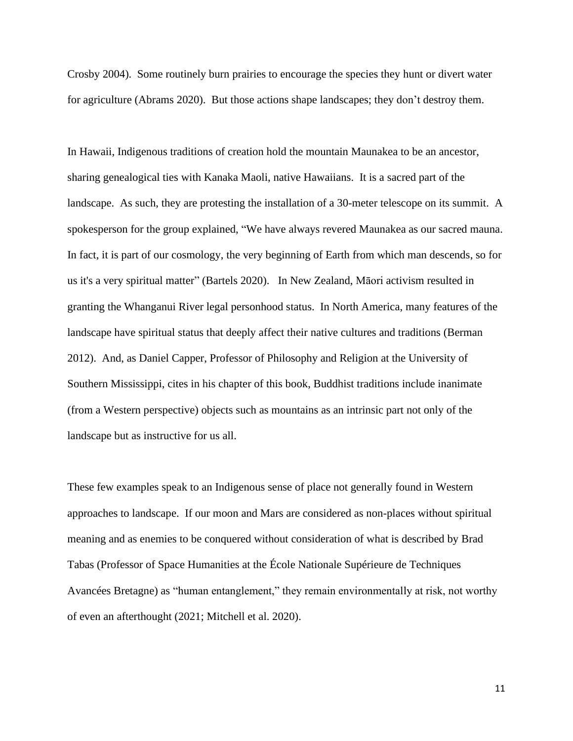Crosby 2004). Some routinely burn prairies to encourage the species they hunt or divert water for agriculture (Abrams 2020). But those actions shape landscapes; they don't destroy them.

In Hawaii, Indigenous traditions of creation hold the mountain Maunakea to be an ancestor, sharing genealogical ties with Kanaka Maoli, native Hawaiians. It is a sacred part of the landscape. As such, they are protesting the installation of a 30-meter telescope on its summit. A spokesperson for the group explained, "We have always revered Maunakea as our sacred mauna. In fact, it is part of our cosmology, the very beginning of Earth from which man descends, so for us it's a very spiritual matter" (Bartels 2020). In New Zealand, Māori activism resulted in granting the Whanganui River legal personhood status. In North America, many features of the landscape have spiritual status that deeply affect their native cultures and traditions (Berman 2012). And, as Daniel Capper, Professor of Philosophy and Religion at the University of Southern Mississippi, cites in his chapter of this book, Buddhist traditions include inanimate (from a Western perspective) objects such as mountains as an intrinsic part not only of the landscape but as instructive for us all.

These few examples speak to an Indigenous sense of place not generally found in Western approaches to landscape. If our moon and Mars are considered as non-places without spiritual meaning and as enemies to be conquered without consideration of what is described by Brad Tabas (Professor of Space Humanities at the École Nationale Supérieure de Techniques Avancées Bretagne) as "human entanglement," they remain environmentally at risk, not worthy of even an afterthought (2021; Mitchell et al. 2020).

11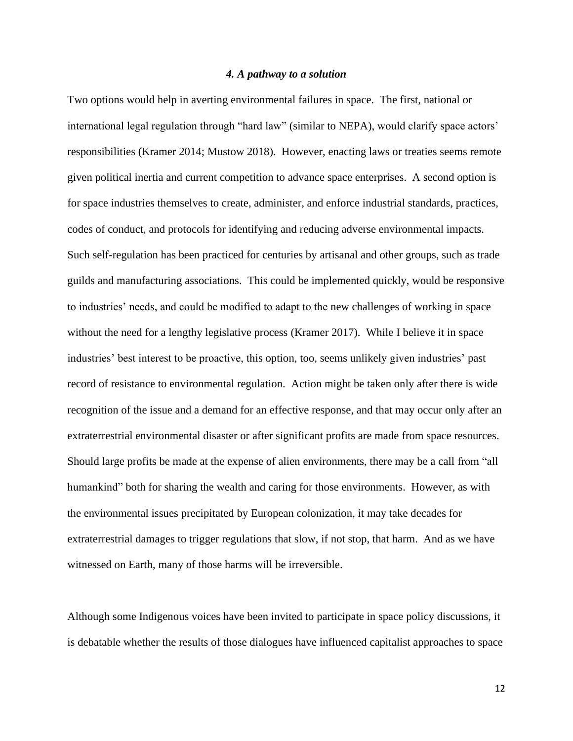## *4. A pathway to a solution*

Two options would help in averting environmental failures in space. The first, national or international legal regulation through "hard law" (similar to NEPA), would clarify space actors' responsibilities (Kramer 2014; Mustow 2018). However, enacting laws or treaties seems remote given political inertia and current competition to advance space enterprises. A second option is for space industries themselves to create, administer, and enforce industrial standards, practices, codes of conduct, and protocols for identifying and reducing adverse environmental impacts. Such self-regulation has been practiced for centuries by artisanal and other groups, such as trade guilds and manufacturing associations. This could be implemented quickly, would be responsive to industries' needs, and could be modified to adapt to the new challenges of working in space without the need for a lengthy legislative process (Kramer 2017). While I believe it in space industries' best interest to be proactive, this option, too, seems unlikely given industries' past record of resistance to environmental regulation. Action might be taken only after there is wide recognition of the issue and a demand for an effective response, and that may occur only after an extraterrestrial environmental disaster or after significant profits are made from space resources. Should large profits be made at the expense of alien environments, there may be a call from "all humankind" both for sharing the wealth and caring for those environments. However, as with the environmental issues precipitated by European colonization, it may take decades for extraterrestrial damages to trigger regulations that slow, if not stop, that harm. And as we have witnessed on Earth, many of those harms will be irreversible.

Although some Indigenous voices have been invited to participate in space policy discussions, it is debatable whether the results of those dialogues have influenced capitalist approaches to space

12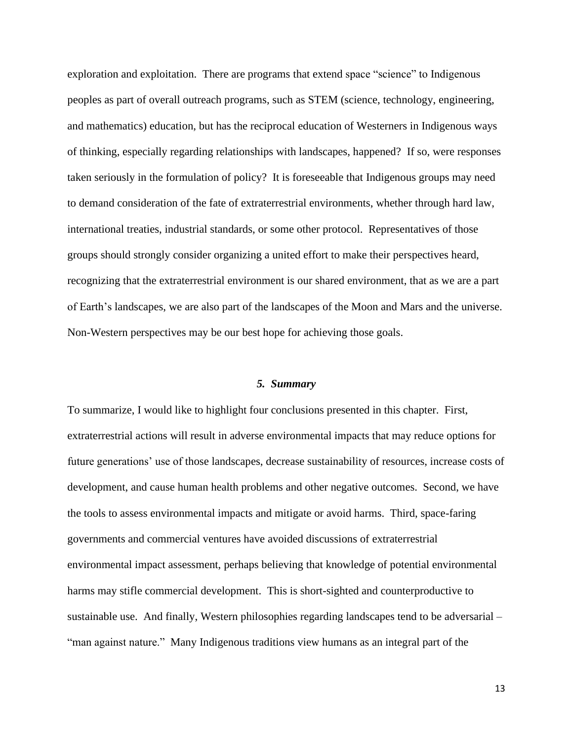exploration and exploitation. There are programs that extend space "science" to Indigenous peoples as part of overall outreach programs, such as STEM (science, technology, engineering, and mathematics) education, but has the reciprocal education of Westerners in Indigenous ways of thinking, especially regarding relationships with landscapes, happened? If so, were responses taken seriously in the formulation of policy? It is foreseeable that Indigenous groups may need to demand consideration of the fate of extraterrestrial environments, whether through hard law, international treaties, industrial standards, or some other protocol. Representatives of those groups should strongly consider organizing a united effort to make their perspectives heard, recognizing that the extraterrestrial environment is our shared environment, that as we are a part of Earth's landscapes, we are also part of the landscapes of the Moon and Mars and the universe. Non-Western perspectives may be our best hope for achieving those goals.

#### *5. Summary*

To summarize, I would like to highlight four conclusions presented in this chapter. First, extraterrestrial actions will result in adverse environmental impacts that may reduce options for future generations' use of those landscapes, decrease sustainability of resources, increase costs of development, and cause human health problems and other negative outcomes. Second, we have the tools to assess environmental impacts and mitigate or avoid harms. Third, space-faring governments and commercial ventures have avoided discussions of extraterrestrial environmental impact assessment, perhaps believing that knowledge of potential environmental harms may stifle commercial development. This is short-sighted and counterproductive to sustainable use. And finally, Western philosophies regarding landscapes tend to be adversarial – "man against nature." Many Indigenous traditions view humans as an integral part of the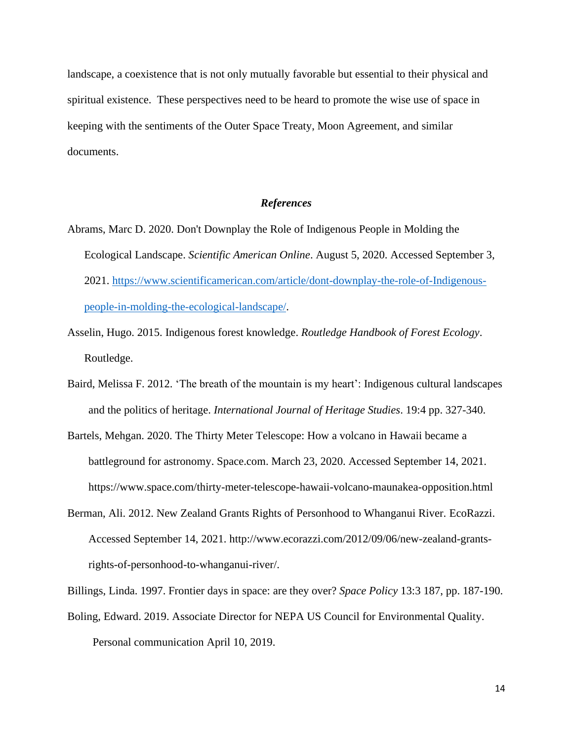landscape, a coexistence that is not only mutually favorable but essential to their physical and spiritual existence. These perspectives need to be heard to promote the wise use of space in keeping with the sentiments of the Outer Space Treaty, Moon Agreement, and similar documents.

## *References*

- Abrams, Marc D. 2020. Don't Downplay the Role of Indigenous People in Molding the Ecological Landscape. *Scientific American Online*. August 5, 2020. Accessed September 3, 2021. [https://www.scientificamerican.com/article/dont-downplay-the-role-of-Indigenous](https://www.scientificamerican.com/article/dont-downplay-the-role-of-indigenous-people-in-molding-the-ecological-landscape/)[people-in-molding-the-ecological-landscape/.](https://www.scientificamerican.com/article/dont-downplay-the-role-of-indigenous-people-in-molding-the-ecological-landscape/)
- Asselin, Hugo. 2015. Indigenous forest knowledge. *Routledge Handbook of Forest Ecology*. Routledge.
- Baird, Melissa F. 2012. 'The breath of the mountain is my heart': Indigenous cultural landscapes and the politics of heritage. *International Journal of Heritage Studies*. 19:4 pp. 327-340.
- Bartels, Mehgan. 2020. The Thirty Meter Telescope: How a volcano in Hawaii became a battleground for astronomy. Space.com. March 23, 2020. Accessed September 14, 2021. https://www.space.com/thirty-meter-telescope-hawaii-volcano-maunakea-opposition.html
- Berman, Ali. 2012. New Zealand Grants Rights of Personhood to Whanganui River. EcoRazzi. Accessed September 14, 2021. http://www.ecorazzi.com/2012/09/06/new-zealand-grantsrights-of-personhood-to-whanganui-river/.

Billings, Linda. 1997. Frontier days in space: are they over? *Space Policy* 13:3 187, pp. 187-190.

Boling, Edward. 2019. Associate Director for NEPA US Council for Environmental Quality.

Personal communication April 10, 2019.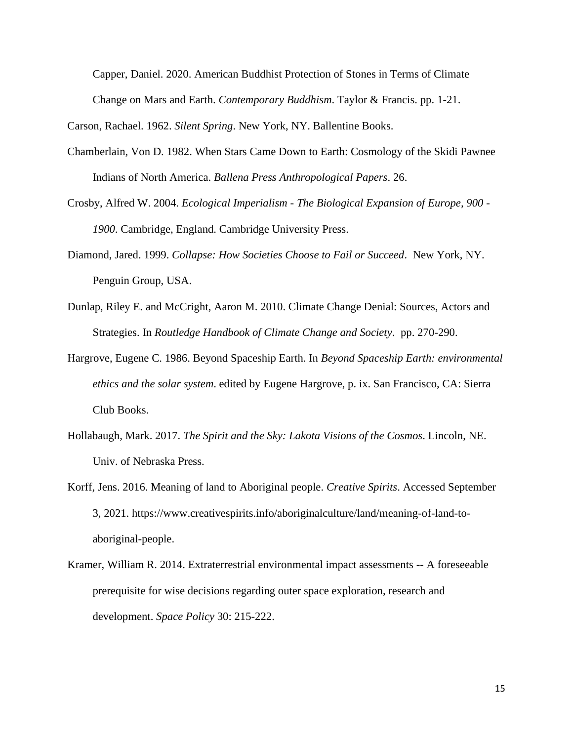Capper, Daniel. 2020. American Buddhist Protection of Stones in Terms of Climate Change on Mars and Earth. *Contemporary Buddhism*. Taylor & Francis. pp. 1-21.

Carson, Rachael. 1962. *Silent Spring*. New York, NY. Ballentine Books.

- Chamberlain, Von D. 1982. When Stars Came Down to Earth: Cosmology of the Skidi Pawnee Indians of North America. *Ballena Press Anthropological Papers*. 26.
- Crosby, Alfred W. 2004. *Ecological Imperialism - The Biological Expansion of Europe, 900 - 1900*. Cambridge, England. Cambridge University Press.
- Diamond, Jared. 1999. *Collapse: How Societies Choose to Fail or Succeed*. New York, NY. Penguin Group, USA.
- Dunlap, Riley E. and McCright, Aaron M. 2010. Climate Change Denial: Sources, Actors and Strategies. In *Routledge Handbook of Climate Change and Society*. pp. 270-290.
- Hargrove, Eugene C. 1986. Beyond Spaceship Earth. In *Beyond Spaceship Earth: environmental ethics and the solar system*. edited by Eugene Hargrove, p. ix. San Francisco, CA: Sierra Club Books.
- Hollabaugh, Mark. 2017. *The Spirit and the Sky: Lakota Visions of the Cosmos*. Lincoln, NE. Univ. of Nebraska Press.
- Korff, Jens. 2016. Meaning of land to Aboriginal people. *Creative Spirits*. Accessed September 3, 2021. https://www.creativespirits.info/aboriginalculture/land/meaning-of-land-toaboriginal-people.
- Kramer, William R. 2014. Extraterrestrial environmental impact assessments -- A foreseeable prerequisite for wise decisions regarding outer space exploration, research and development. *Space Policy* 30: 215-222.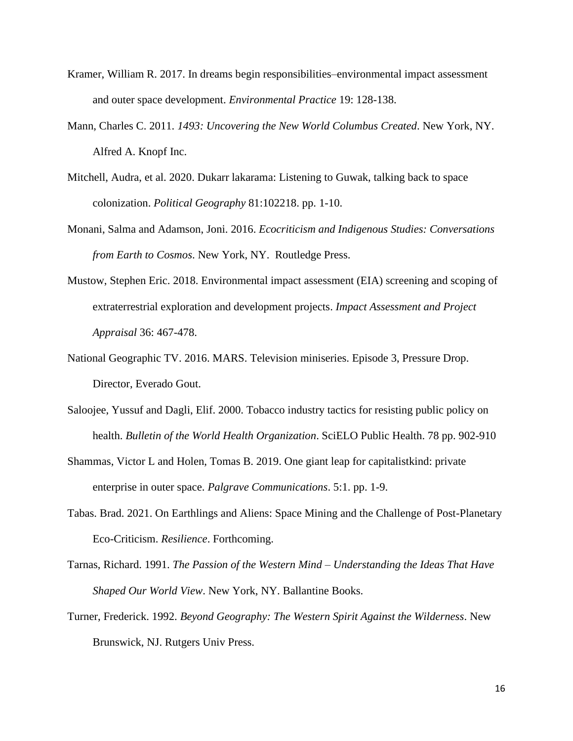- Kramer, William R. 2017. In dreams begin responsibilities–environmental impact assessment and outer space development. *Environmental Practice* 19: 128-138.
- Mann, Charles C. 2011. *1493: Uncovering the New World Columbus Created*. New York, NY. Alfred A. Knopf Inc.
- Mitchell, Audra, et al. 2020. Dukarr lakarama: Listening to Guwak, talking back to space colonization. *Political Geography* 81:102218. pp. 1-10.
- Monani, Salma and Adamson, Joni. 2016. *Ecocriticism and Indigenous Studies: Conversations from Earth to Cosmos*. New York, NY. Routledge Press.
- Mustow, Stephen Eric. 2018. Environmental impact assessment (EIA) screening and scoping of extraterrestrial exploration and development projects. *Impact Assessment and Project Appraisal* 36: 467-478.
- National Geographic TV. 2016. MARS. Television miniseries. Episode 3, Pressure Drop. Director, Everado Gout.
- Saloojee, Yussuf and Dagli, Elif. 2000. Tobacco industry tactics for resisting public policy on health. *Bulletin of the World Health Organization*. SciELO Public Health. 78 pp. 902-910
- Shammas, Victor L and Holen, Tomas B. 2019. One giant leap for capitalistkind: private enterprise in outer space. *Palgrave Communications*. 5:1. pp. 1-9.
- Tabas. Brad. 2021. On Earthlings and Aliens: Space Mining and the Challenge of Post-Planetary Eco-Criticism. *Resilience*. Forthcoming.
- Tarnas, Richard. 1991. *The Passion of the Western Mind – Understanding the Ideas That Have Shaped Our World View*. New York, NY. Ballantine Books.
- Turner, Frederick. 1992. *Beyond Geography: The Western Spirit Against the Wilderness*. New Brunswick, NJ. Rutgers Univ Press.